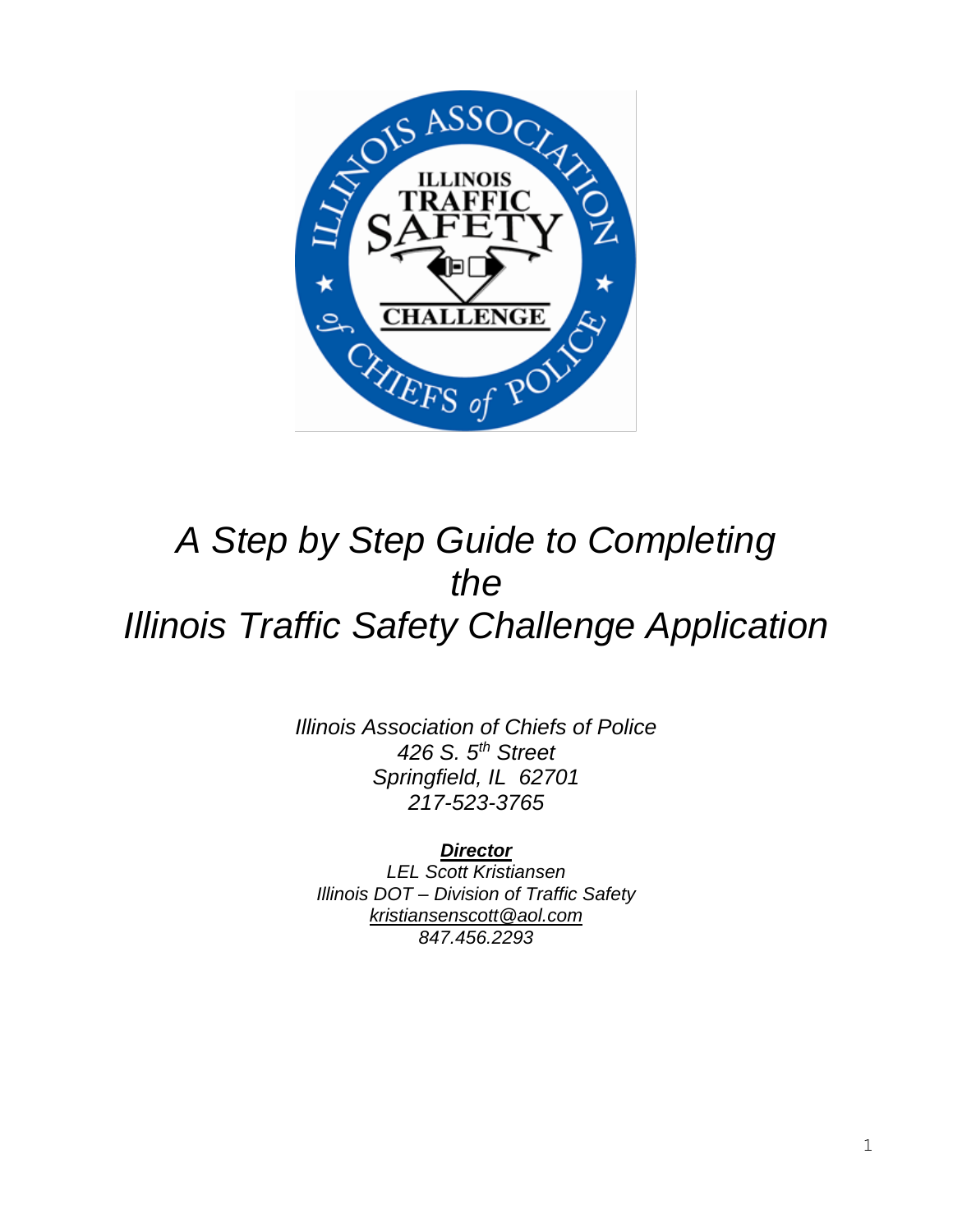

# *A Step by Step Guide to Completing the Illinois Traffic Safety Challenge Application*

*Illinois Association of Chiefs of Police 426 S. 5th Street Springfield, IL 62701 217-523-3765*

*Director LEL Scott Kristiansen Illinois DOT – Division of Traffic Safety kristiansenscott@aol.com*

*847.456.2293*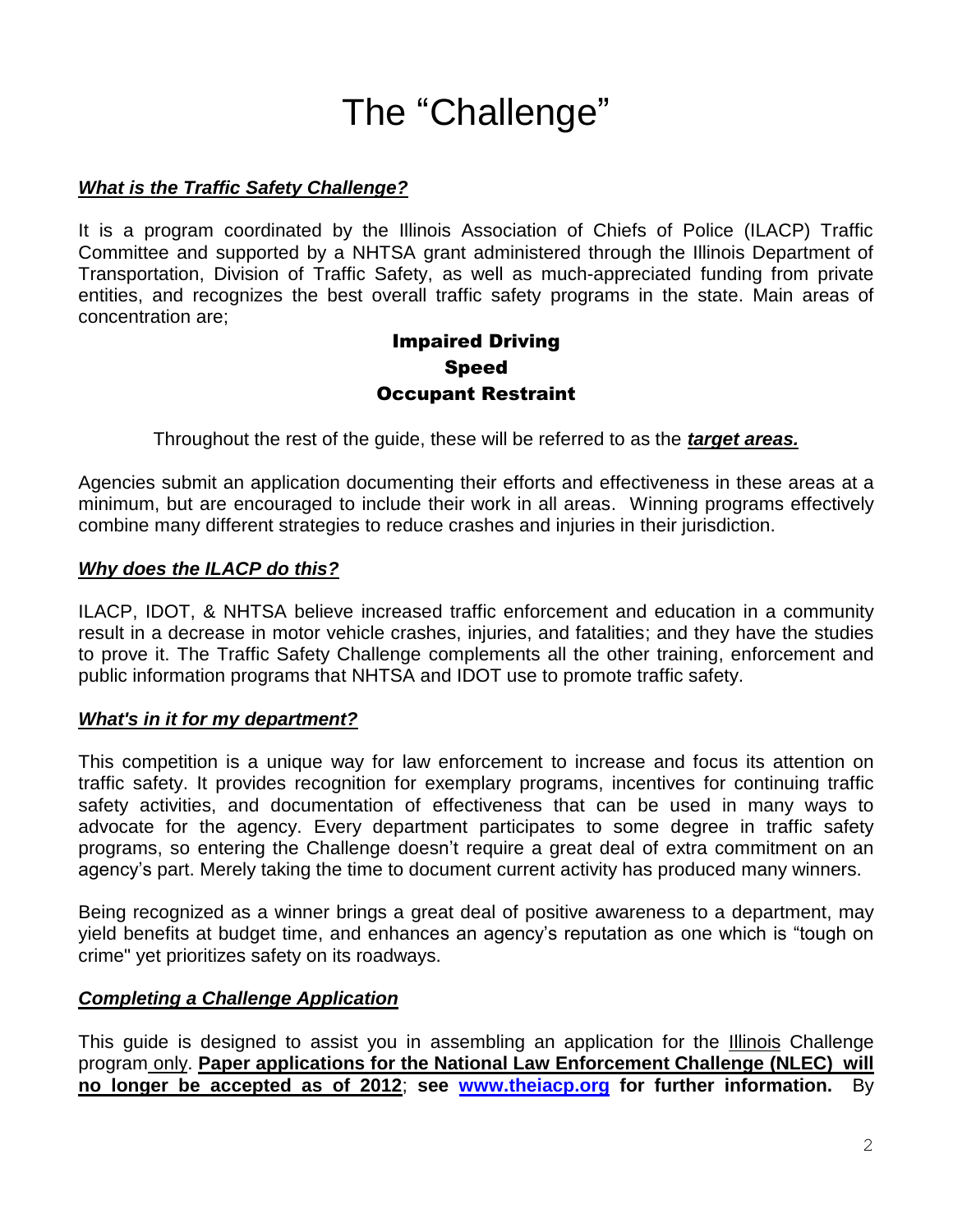# The "Challenge"

#### *What is the Traffic Safety Challenge?*

It is a program coordinated by the Illinois Association of Chiefs of Police (ILACP) Traffic Committee and supported by a NHTSA grant administered through the Illinois Department of Transportation, Division of Traffic Safety, as well as much-appreciated funding from private entities, and recognizes the best overall traffic safety programs in the state. Main areas of concentration are;

## Impaired Driving Speed Occupant Restraint

Throughout the rest of the guide, these will be referred to as the *target areas.*

Agencies submit an application documenting their efforts and effectiveness in these areas at a minimum, but are encouraged to include their work in all areas. Winning programs effectively combine many different strategies to reduce crashes and injuries in their jurisdiction.

#### *Why does the ILACP do this?*

ILACP, IDOT, & NHTSA believe increased traffic enforcement and education in a community result in a decrease in motor vehicle crashes, injuries, and fatalities; and they have the studies to prove it. The Traffic Safety Challenge complements all the other training, enforcement and public information programs that NHTSA and IDOT use to promote traffic safety.

#### *What's in it for my department?*

This competition is a unique way for law enforcement to increase and focus its attention on traffic safety. It provides recognition for exemplary programs, incentives for continuing traffic safety activities, and documentation of effectiveness that can be used in many ways to advocate for the agency. Every department participates to some degree in traffic safety programs, so entering the Challenge doesn't require a great deal of extra commitment on an agency's part. Merely taking the time to document current activity has produced many winners.

Being recognized as a winner brings a great deal of positive awareness to a department, may yield benefits at budget time, and enhances an agency's reputation as one which is "tough on crime" yet prioritizes safety on its roadways.

## *Completing a Challenge Application*

This guide is designed to assist you in assembling an application for the Illinois Challenge program only. **Paper applications for the National Law Enforcement Challenge (NLEC) will no longer be accepted as of 2012**; **see [www.theiacp.org](http://www.theiacp.org/) for further information.** By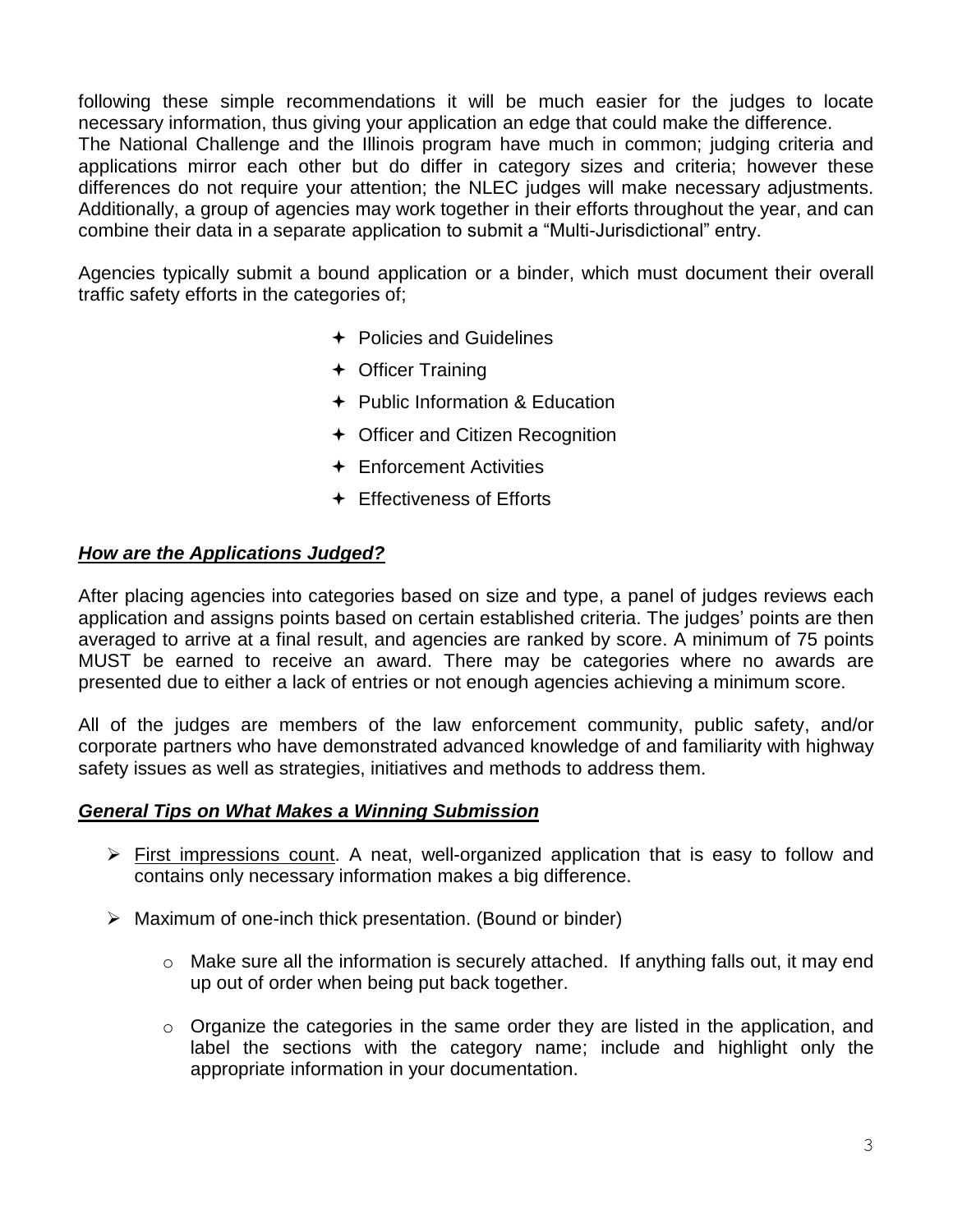following these simple recommendations it will be much easier for the judges to locate necessary information, thus giving your application an edge that could make the difference. The National Challenge and the Illinois program have much in common; judging criteria and applications mirror each other but do differ in category sizes and criteria; however these differences do not require your attention; the NLEC judges will make necessary adjustments. Additionally, a group of agencies may work together in their efforts throughout the year, and can combine their data in a separate application to submit a "Multi-Jurisdictional" entry.

Agencies typically submit a bound application or a binder, which must document their overall traffic safety efforts in the categories of;

- $\div$  Policies and Guidelines
- Officer Training
- ← Public Information & Education
- ← Officer and Citizen Recognition
- $\div$  Enforcement Activities
- **← Effectiveness of Efforts**

## *How are the Applications Judged?*

After placing agencies into categories based on size and type, a panel of judges reviews each application and assigns points based on certain established criteria. The judges' points are then averaged to arrive at a final result, and agencies are ranked by score. A minimum of 75 points MUST be earned to receive an award. There may be categories where no awards are presented due to either a lack of entries or not enough agencies achieving a minimum score.

All of the judges are members of the law enforcement community, public safety, and/or corporate partners who have demonstrated advanced knowledge of and familiarity with highway safety issues as well as strategies, initiatives and methods to address them.

## *General Tips on What Makes a Winning Submission*

- $\triangleright$  First impressions count. A neat, well-organized application that is easy to follow and contains only necessary information makes a big difference.
- $\triangleright$  Maximum of one-inch thick presentation. (Bound or binder)
	- $\circ$  Make sure all the information is securely attached. If anything falls out, it may end up out of order when being put back together.
	- o Organize the categories in the same order they are listed in the application, and label the sections with the category name; include and highlight only the appropriate information in your documentation.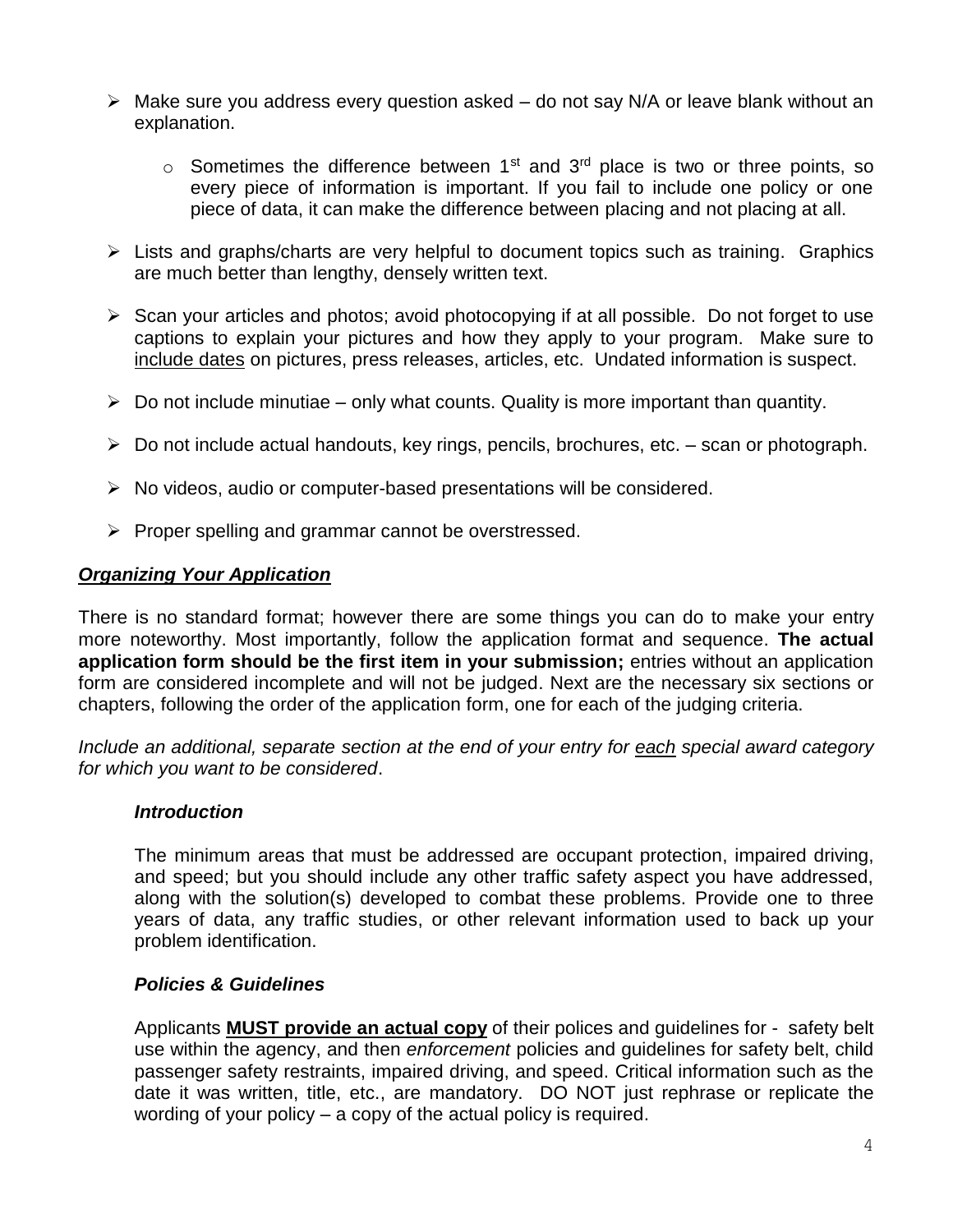- $\triangleright$  Make sure you address every question asked do not say N/A or leave blank without an explanation.
	- $\circ$  Sometimes the difference between 1<sup>st</sup> and 3<sup>rd</sup> place is two or three points, so every piece of information is important. If you fail to include one policy or one piece of data, it can make the difference between placing and not placing at all.
- $\triangleright$  Lists and graphs/charts are very helpful to document topics such as training. Graphics are much better than lengthy, densely written text.
- $\triangleright$  Scan your articles and photos; avoid photocopying if at all possible. Do not forget to use captions to explain your pictures and how they apply to your program. Make sure to include dates on pictures, press releases, articles, etc. Undated information is suspect.
- $\triangleright$  Do not include minutiae only what counts. Quality is more important than quantity.
- $\triangleright$  Do not include actual handouts, key rings, pencils, brochures, etc. scan or photograph.
- $\triangleright$  No videos, audio or computer-based presentations will be considered.
- $\triangleright$  Proper spelling and grammar cannot be overstressed.

#### *Organizing Your Application*

There is no standard format; however there are some things you can do to make your entry more noteworthy. Most importantly, follow the application format and sequence. **The actual application form should be the first item in your submission;** entries without an application form are considered incomplete and will not be judged. Next are the necessary six sections or chapters, following the order of the application form, one for each of the judging criteria.

*Include an additional, separate section at the end of your entry for each special award category for which you want to be considered*.

#### *Introduction*

The minimum areas that must be addressed are occupant protection, impaired driving, and speed; but you should include any other traffic safety aspect you have addressed, along with the solution(s) developed to combat these problems. Provide one to three years of data, any traffic studies, or other relevant information used to back up your problem identification.

#### *Policies & Guidelines*

Applicants **MUST provide an actual copy** of their polices and guidelines for - safety belt use within the agency, and then *enforcement* policies and guidelines for safety belt, child passenger safety restraints, impaired driving, and speed. Critical information such as the date it was written, title, etc., are mandatory. DO NOT just rephrase or replicate the wording of your policy – a copy of the actual policy is required.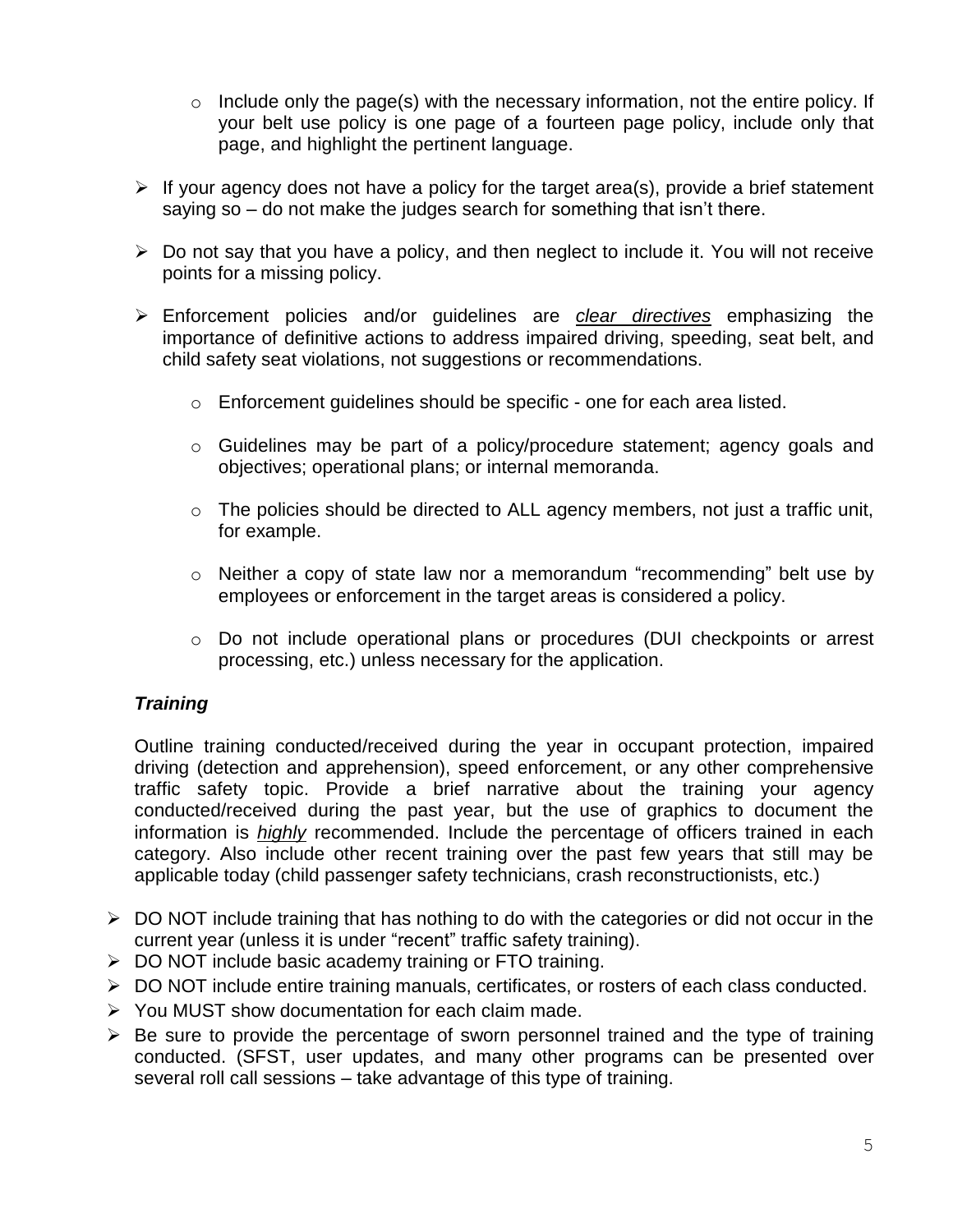- $\circ$  Include only the page(s) with the necessary information, not the entire policy. If your belt use policy is one page of a fourteen page policy, include only that page, and highlight the pertinent language.
- $\triangleright$  If your agency does not have a policy for the target area(s), provide a brief statement saying so – do not make the judges search for something that isn't there.
- $\triangleright$  Do not say that you have a policy, and then neglect to include it. You will not receive points for a missing policy.
- Enforcement policies and/or guidelines are *clear directives* emphasizing the importance of definitive actions to address impaired driving, speeding, seat belt, and child safety seat violations, not suggestions or recommendations.
	- o Enforcement guidelines should be specific one for each area listed.
	- o Guidelines may be part of a policy/procedure statement; agency goals and objectives; operational plans; or internal memoranda.
	- $\circ$  The policies should be directed to ALL agency members, not just a traffic unit, for example.
	- o Neither a copy of state law nor a memorandum "recommending" belt use by employees or enforcement in the target areas is considered a policy.
	- o Do not include operational plans or procedures (DUI checkpoints or arrest processing, etc.) unless necessary for the application.

## *Training*

Outline training conducted/received during the year in occupant protection, impaired driving (detection and apprehension), speed enforcement, or any other comprehensive traffic safety topic. Provide a brief narrative about the training your agency conducted/received during the past year, but the use of graphics to document the information is *highly* recommended. Include the percentage of officers trained in each category. Also include other recent training over the past few years that still may be applicable today (child passenger safety technicians, crash reconstructionists, etc.)

- $\triangleright$  DO NOT include training that has nothing to do with the categories or did not occur in the current year (unless it is under "recent" traffic safety training).
- $\triangleright$  DO NOT include basic academy training or FTO training.
- DO NOT include entire training manuals, certificates, or rosters of each class conducted.
- $\triangleright$  You MUST show documentation for each claim made.
- $\triangleright$  Be sure to provide the percentage of sworn personnel trained and the type of training conducted. (SFST, user updates, and many other programs can be presented over several roll call sessions – take advantage of this type of training.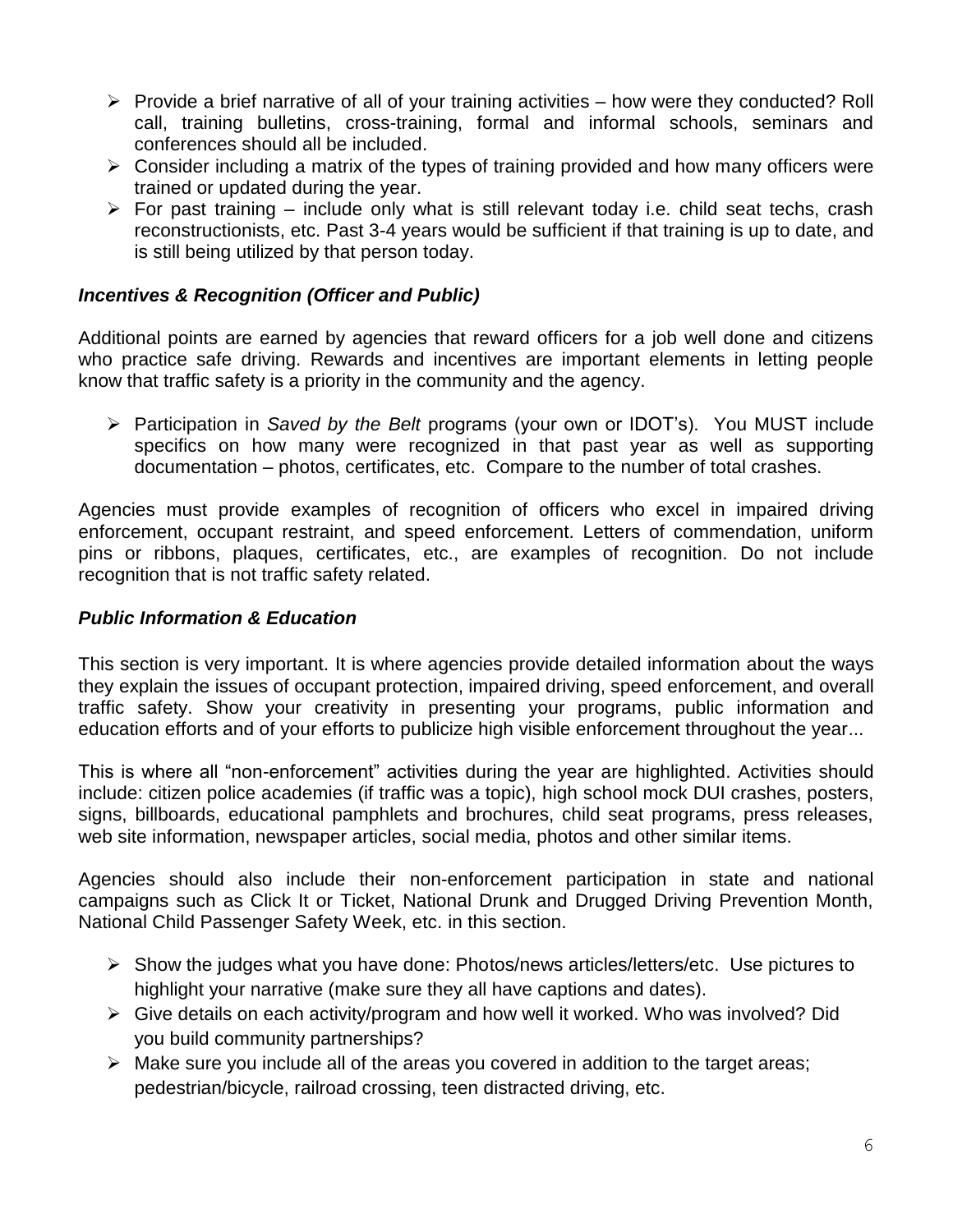- $\triangleright$  Provide a brief narrative of all of your training activities how were they conducted? Roll call, training bulletins, cross-training, formal and informal schools, seminars and conferences should all be included.
- $\triangleright$  Consider including a matrix of the types of training provided and how many officers were trained or updated during the year.
- $\triangleright$  For past training include only what is still relevant today i.e. child seat techs, crash reconstructionists, etc. Past 3-4 years would be sufficient if that training is up to date, and is still being utilized by that person today.

## *Incentives & Recognition (Officer and Public)*

Additional points are earned by agencies that reward officers for a job well done and citizens who practice safe driving. Rewards and incentives are important elements in letting people know that traffic safety is a priority in the community and the agency.

 Participation in *Saved by the Belt* programs (your own or IDOT's). You MUST include specifics on how many were recognized in that past year as well as supporting documentation – photos, certificates, etc. Compare to the number of total crashes.

Agencies must provide examples of recognition of officers who excel in impaired driving enforcement, occupant restraint, and speed enforcement. Letters of commendation, uniform pins or ribbons, plaques, certificates, etc., are examples of recognition. Do not include recognition that is not traffic safety related.

### *Public Information & Education*

This section is very important. It is where agencies provide detailed information about the ways they explain the issues of occupant protection, impaired driving, speed enforcement, and overall traffic safety. Show your creativity in presenting your programs, public information and education efforts and of your efforts to publicize high visible enforcement throughout the year...

This is where all "non-enforcement" activities during the year are highlighted. Activities should include: citizen police academies (if traffic was a topic), high school mock DUI crashes, posters, signs, billboards, educational pamphlets and brochures, child seat programs, press releases, web site information, newspaper articles, social media, photos and other similar items.

Agencies should also include their non-enforcement participation in state and national campaigns such as Click It or Ticket, National Drunk and Drugged Driving Prevention Month, National Child Passenger Safety Week, etc. in this section.

- $\triangleright$  Show the judges what you have done: Photos/news articles/letters/etc. Use pictures to highlight your narrative (make sure they all have captions and dates).
- $\triangleright$  Give details on each activity/program and how well it worked. Who was involved? Did you build community partnerships?
- $\triangleright$  Make sure you include all of the areas you covered in addition to the target areas; pedestrian/bicycle, railroad crossing, teen distracted driving, etc.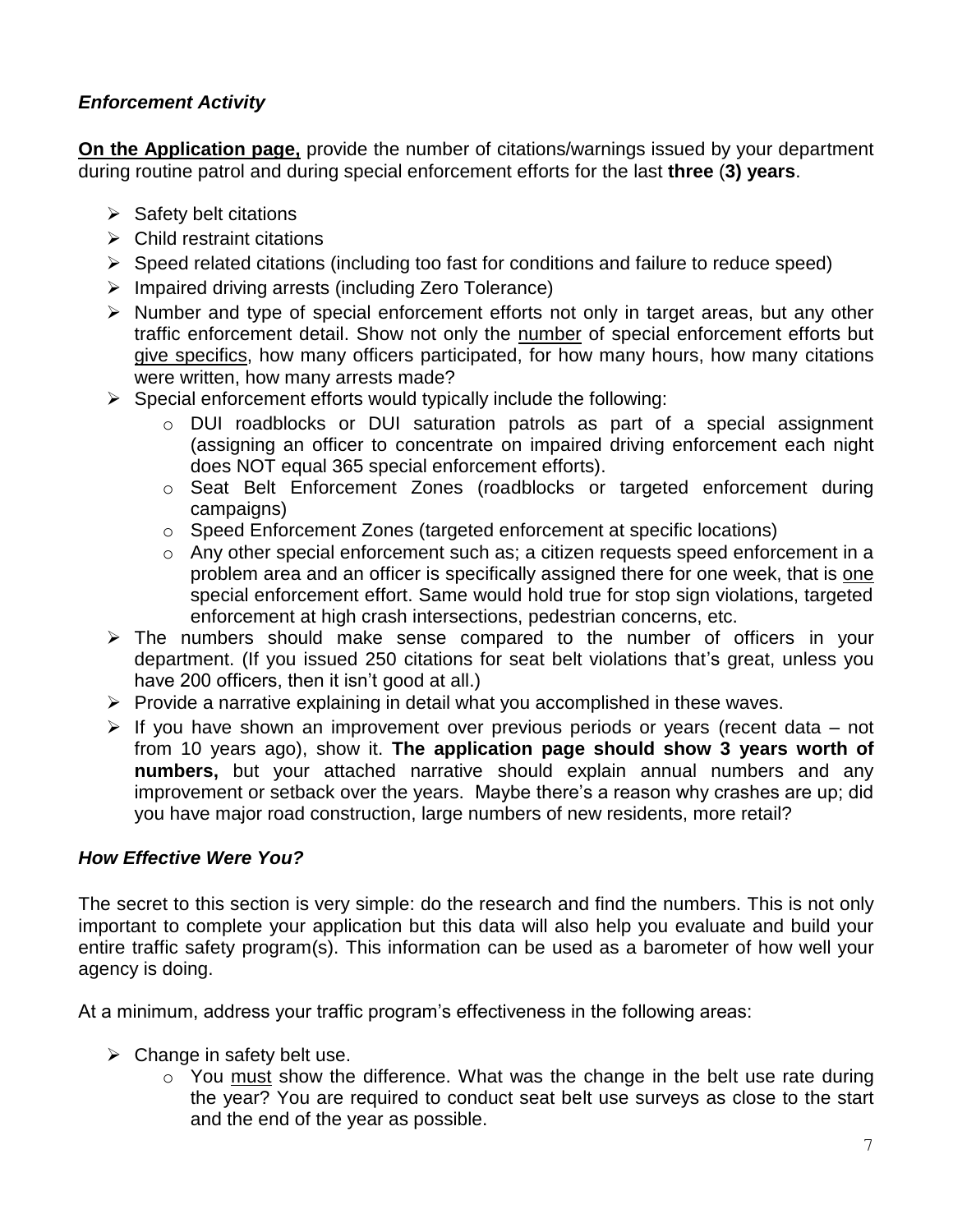## *Enforcement Activity*

**On the Application page,** provide the number of citations/warnings issued by your department during routine patrol and during special enforcement efforts for the last **three** (**3) years**.

- $\triangleright$  Safety belt citations
- $\triangleright$  Child restraint citations
- $\triangleright$  Speed related citations (including too fast for conditions and failure to reduce speed)
- $\triangleright$  Impaired driving arrests (including Zero Tolerance)
- $\triangleright$  Number and type of special enforcement efforts not only in target areas, but any other traffic enforcement detail. Show not only the number of special enforcement efforts but give specifics, how many officers participated, for how many hours, how many citations were written, how many arrests made?
- $\triangleright$  Special enforcement efforts would typically include the following:
	- o DUI roadblocks or DUI saturation patrols as part of a special assignment (assigning an officer to concentrate on impaired driving enforcement each night does NOT equal 365 special enforcement efforts).
	- o Seat Belt Enforcement Zones (roadblocks or targeted enforcement during campaigns)
	- o Speed Enforcement Zones (targeted enforcement at specific locations)
	- o Any other special enforcement such as; a citizen requests speed enforcement in a problem area and an officer is specifically assigned there for one week, that is one special enforcement effort. Same would hold true for stop sign violations, targeted enforcement at high crash intersections, pedestrian concerns, etc.
- $\triangleright$  The numbers should make sense compared to the number of officers in your department. (If you issued 250 citations for seat belt violations that's great, unless you have 200 officers, then it isn't good at all.)
- $\triangleright$  Provide a narrative explaining in detail what you accomplished in these waves.
- $\triangleright$  If you have shown an improvement over previous periods or years (recent data not from 10 years ago), show it. **The application page should show 3 years worth of numbers,** but your attached narrative should explain annual numbers and any improvement or setback over the years. Maybe there's a reason why crashes are up; did you have major road construction, large numbers of new residents, more retail?

#### *How Effective Were You?*

The secret to this section is very simple: do the research and find the numbers. This is not only important to complete your application but this data will also help you evaluate and build your entire traffic safety program(s). This information can be used as a barometer of how well your agency is doing.

At a minimum, address your traffic program's effectiveness in the following areas:

- $\triangleright$  Change in safety belt use.
	- $\circ$  You must show the difference. What was the change in the belt use rate during the year? You are required to conduct seat belt use surveys as close to the start and the end of the year as possible.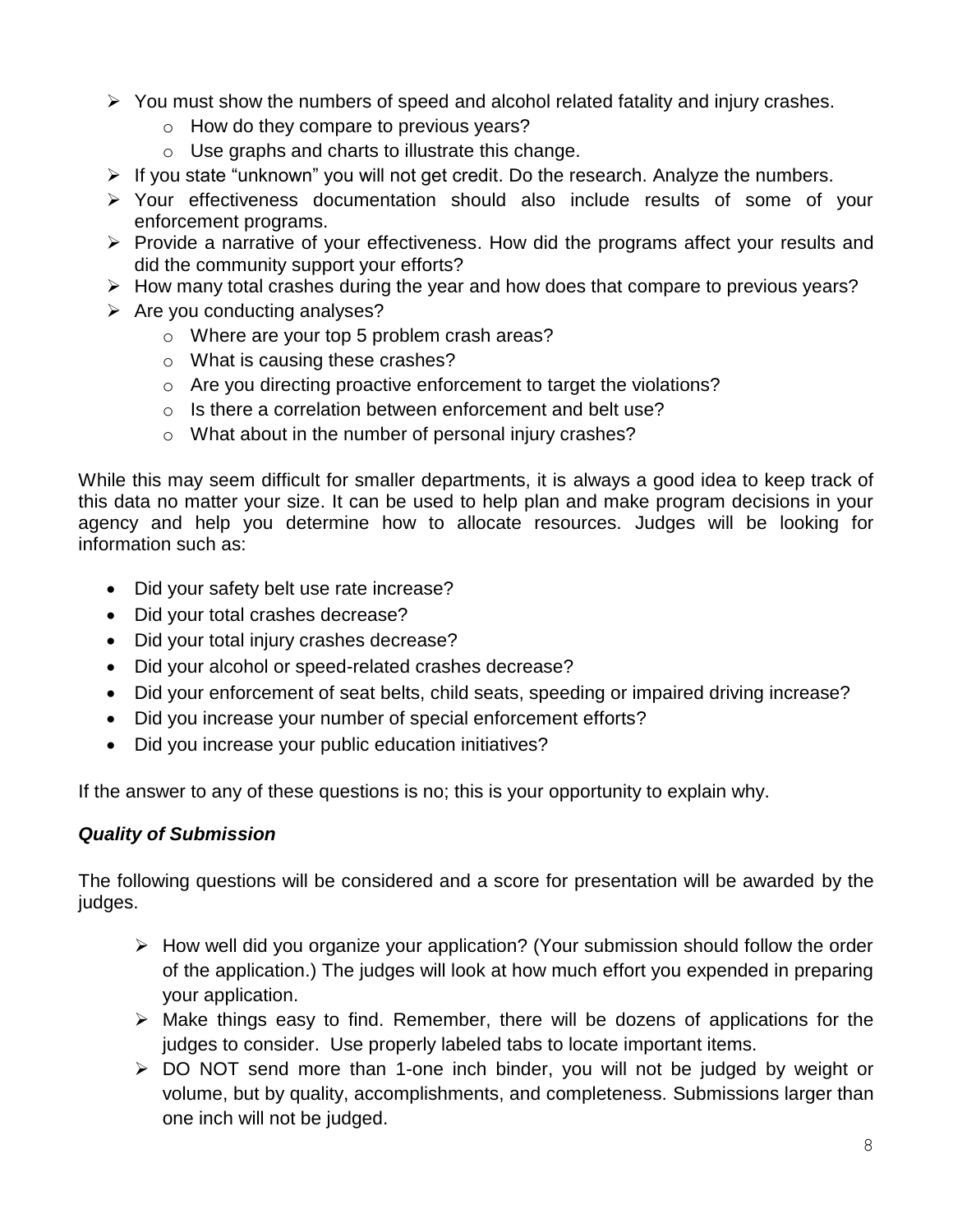- $\triangleright$  You must show the numbers of speed and alcohol related fatality and injury crashes.
	- o How do they compare to previous years?
	- o Use graphs and charts to illustrate this change.
- $\triangleright$  If you state "unknown" you will not get credit. Do the research. Analyze the numbers.
- Your effectiveness documentation should also include results of some of your enforcement programs.
- $\triangleright$  Provide a narrative of your effectiveness. How did the programs affect your results and did the community support your efforts?
- $\triangleright$  How many total crashes during the year and how does that compare to previous years?
- $\triangleright$  Are you conducting analyses?
	- o Where are your top 5 problem crash areas?
	- o What is causing these crashes?
	- o Are you directing proactive enforcement to target the violations?
	- o Is there a correlation between enforcement and belt use?
	- o What about in the number of personal injury crashes?

While this may seem difficult for smaller departments, it is always a good idea to keep track of this data no matter your size. It can be used to help plan and make program decisions in your agency and help you determine how to allocate resources. Judges will be looking for information such as:

- Did your safety belt use rate increase?
- Did your total crashes decrease?
- Did your total injury crashes decrease?
- Did your alcohol or speed-related crashes decrease?
- Did your enforcement of seat belts, child seats, speeding or impaired driving increase?
- Did you increase your number of special enforcement efforts?
- Did you increase your public education initiatives?

If the answer to any of these questions is no; this is your opportunity to explain why.

## *Quality of Submission*

The following questions will be considered and a score for presentation will be awarded by the judges.

- $\triangleright$  How well did you organize your application? (Your submission should follow the order of the application.) The judges will look at how much effort you expended in preparing your application.
- $\triangleright$  Make things easy to find. Remember, there will be dozens of applications for the judges to consider. Use properly labeled tabs to locate important items.
- DO NOT send more than 1-one inch binder, you will not be judged by weight or volume, but by quality, accomplishments, and completeness. Submissions larger than one inch will not be judged.